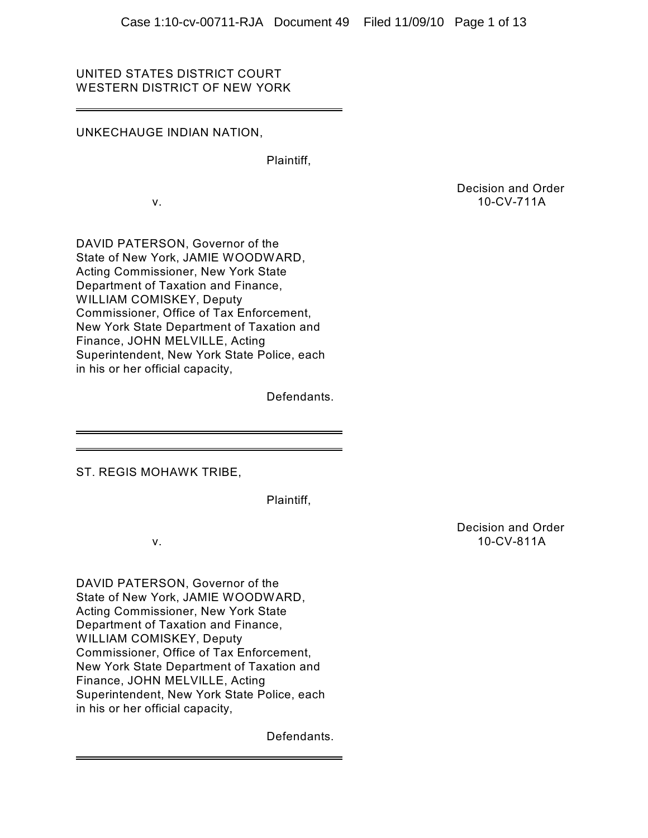# UNITED STATES DISTRICT COURT WESTERN DISTRICT OF NEW YORK

# UNKECHAUGE INDIAN NATION,

Plaintiff,

Decision and Order v. 10-CV-711A

DAVID PATERSON, Governor of the State of New York, JAMIE WOODWARD, Acting Commissioner, New York State Department of Taxation and Finance, WILLIAM COMISKEY, Deputy Commissioner, Office of Tax Enforcement, New York State Department of Taxation and Finance, JOHN MELVILLE, Acting Superintendent, New York State Police, each in his or her official capacity,

Defendants.

ST. REGIS MOHAWK TRIBE,

Plaintiff,

DAVID PATERSON, Governor of the State of New York, JAMIE WOODWARD, Acting Commissioner, New York State Department of Taxation and Finance, WILLIAM COMISKEY, Deputy Commissioner, Office of Tax Enforcement, New York State Department of Taxation and Finance, JOHN MELVILLE, Acting Superintendent, New York State Police, each in his or her official capacity,

Defendants.

Decision and Order v. 10-CV-811A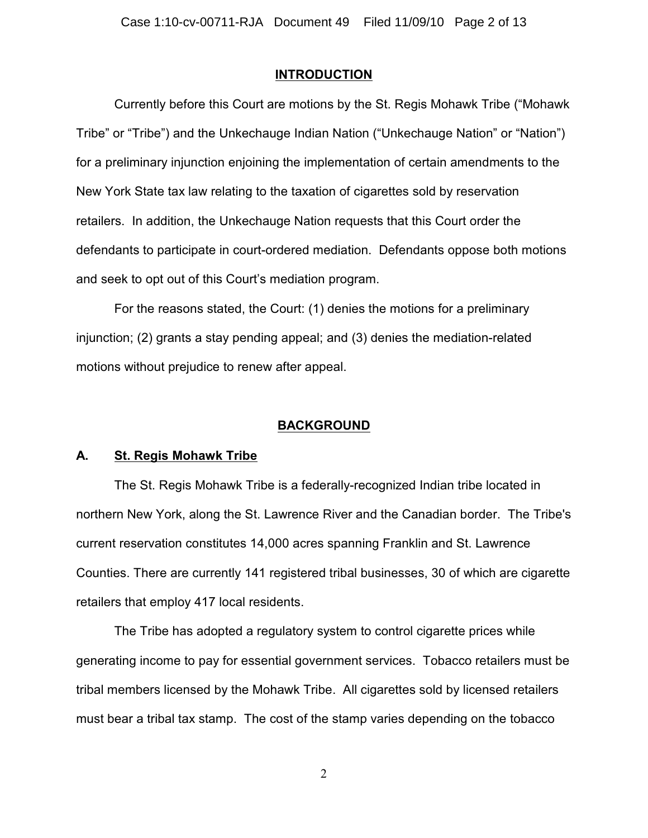# **INTRODUCTION**

Currently before this Court are motions by the St. Regis Mohawk Tribe ("Mohawk Tribe" or "Tribe") and the Unkechauge Indian Nation ("Unkechauge Nation" or "Nation") for a preliminary injunction enjoining the implementation of certain amendments to the New York State tax law relating to the taxation of cigarettes sold by reservation retailers. In addition, the Unkechauge Nation requests that this Court order the defendants to participate in court-ordered mediation. Defendants oppose both motions and seek to opt out of this Court's mediation program.

For the reasons stated, the Court: (1) denies the motions for a preliminary injunction; (2) grants a stay pending appeal; and (3) denies the mediation-related motions without prejudice to renew after appeal.

# **BACKGROUND**

### **A. St. Regis Mohawk Tribe**

The St. Regis Mohawk Tribe is a federally-recognized Indian tribe located in northern New York, along the St. Lawrence River and the Canadian border. The Tribe's current reservation constitutes 14,000 acres spanning Franklin and St. Lawrence Counties. There are currently 141 registered tribal businesses, 30 of which are cigarette retailers that employ 417 local residents.

The Tribe has adopted a regulatory system to control cigarette prices while generating income to pay for essential government services. Tobacco retailers must be tribal members licensed by the Mohawk Tribe. All cigarettes sold by licensed retailers must bear a tribal tax stamp. The cost of the stamp varies depending on the tobacco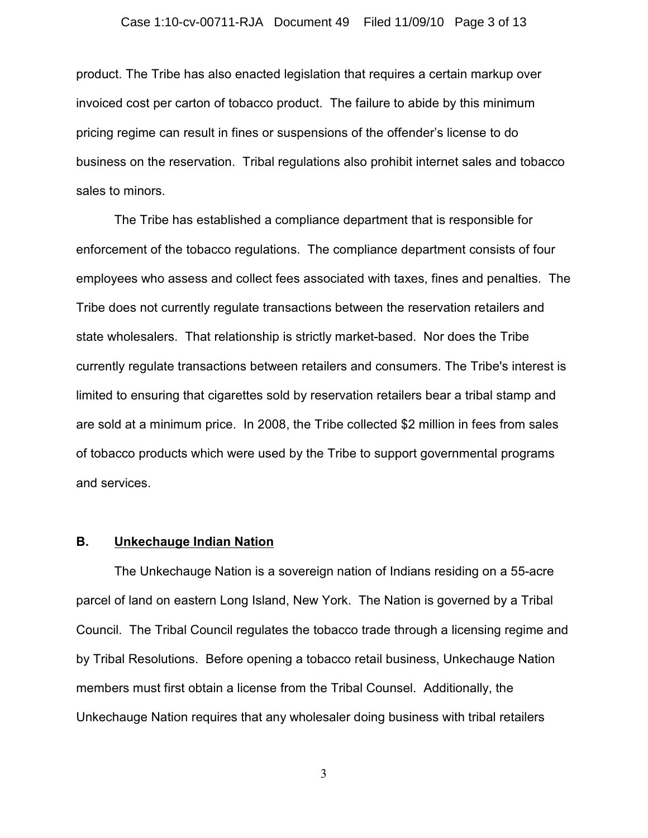product. The Tribe has also enacted legislation that requires a certain markup over invoiced cost per carton of tobacco product. The failure to abide by this minimum pricing regime can result in fines or suspensions of the offender's license to do business on the reservation. Tribal regulations also prohibit internet sales and tobacco sales to minors.

The Tribe has established a compliance department that is responsible for enforcement of the tobacco regulations. The compliance department consists of four employees who assess and collect fees associated with taxes, fines and penalties. The Tribe does not currently regulate transactions between the reservation retailers and state wholesalers. That relationship is strictly market-based. Nor does the Tribe currently regulate transactions between retailers and consumers. The Tribe's interest is limited to ensuring that cigarettes sold by reservation retailers bear a tribal stamp and are sold at a minimum price. In 2008, the Tribe collected \$2 million in fees from sales of tobacco products which were used by the Tribe to support governmental programs and services.

## **B. Unkechauge Indian Nation**

The Unkechauge Nation is a sovereign nation of Indians residing on a 55-acre parcel of land on eastern Long Island, New York. The Nation is governed by a Tribal Council. The Tribal Council regulates the tobacco trade through a licensing regime and by Tribal Resolutions. Before opening a tobacco retail business, Unkechauge Nation members must first obtain a license from the Tribal Counsel. Additionally, the Unkechauge Nation requires that any wholesaler doing business with tribal retailers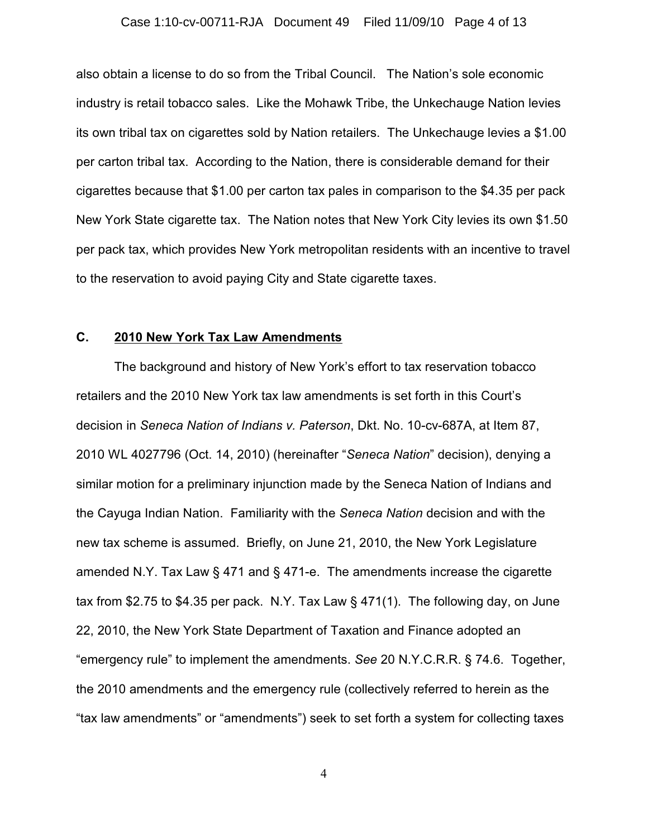#### Case 1:10-cv-00711-RJA Document 49 Filed 11/09/10 Page 4 of 13

also obtain a license to do so from the Tribal Council. The Nation's sole economic industry is retail tobacco sales. Like the Mohawk Tribe, the Unkechauge Nation levies its own tribal tax on cigarettes sold by Nation retailers. The Unkechauge levies a \$1.00 per carton tribal tax. According to the Nation, there is considerable demand for their cigarettes because that \$1.00 per carton tax pales in comparison to the \$4.35 per pack New York State cigarette tax. The Nation notes that New York City levies its own \$1.50 per pack tax, which provides New York metropolitan residents with an incentive to travel to the reservation to avoid paying City and State cigarette taxes.

#### **C. 2010 New York Tax Law Amendments**

The background and history of New York's effort to tax reservation tobacco retailers and the 2010 New York tax law amendments is set forth in this Court's decision in *Seneca Nation of Indians v. Paterson*, Dkt. No. 10-cv-687A, at Item 87, 2010 WL 4027796 (Oct. 14, 2010) (hereinafter "*Seneca Nation*" decision), denying a similar motion for a preliminary injunction made by the Seneca Nation of Indians and the Cayuga Indian Nation. Familiarity with the *Seneca Nation* decision and with the new tax scheme is assumed. Briefly, on June 21, 2010, the New York Legislature amended N.Y. Tax Law § 471 and § 471-e. The amendments increase the cigarette tax from \$2.75 to \$4.35 per pack. N.Y. Tax Law § 471(1). The following day, on June 22, 2010, the New York State Department of Taxation and Finance adopted an "emergency rule" to implement the amendments. *See* 20 N.Y.C.R.R. § 74.6. Together, the 2010 amendments and the emergency rule (collectively referred to herein as the "tax law amendments" or "amendments") seek to set forth a system for collecting taxes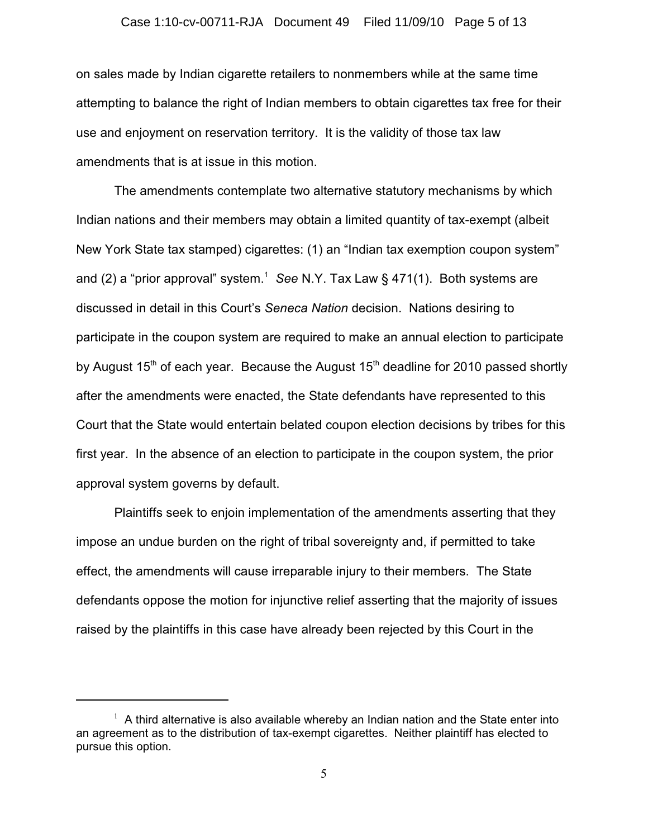on sales made by Indian cigarette retailers to nonmembers while at the same time attempting to balance the right of Indian members to obtain cigarettes tax free for their use and enjoyment on reservation territory. It is the validity of those tax law amendments that is at issue in this motion.

The amendments contemplate two alternative statutory mechanisms by which Indian nations and their members may obtain a limited quantity of tax-exempt (albeit New York State tax stamped) cigarettes: (1) an "Indian tax exemption coupon system" and (2) a "prior approval" system.<sup>1</sup> See N.Y. Tax Law § 471(1). Both systems are discussed in detail in this Court's *Seneca Nation* decision. Nations desiring to participate in the coupon system are required to make an annual election to participate by August  $15<sup>th</sup>$  of each year. Because the August  $15<sup>th</sup>$  deadline for 2010 passed shortly after the amendments were enacted, the State defendants have represented to this Court that the State would entertain belated coupon election decisions by tribes for this first year. In the absence of an election to participate in the coupon system, the prior approval system governs by default.

Plaintiffs seek to enjoin implementation of the amendments asserting that they impose an undue burden on the right of tribal sovereignty and, if permitted to take effect, the amendments will cause irreparable injury to their members. The State defendants oppose the motion for injunctive relief asserting that the majority of issues raised by the plaintiffs in this case have already been rejected by this Court in the

 $1$  A third alternative is also available whereby an Indian nation and the State enter into an agreement as to the distribution of tax-exempt cigarettes. Neither plaintiff has elected to pursue this option.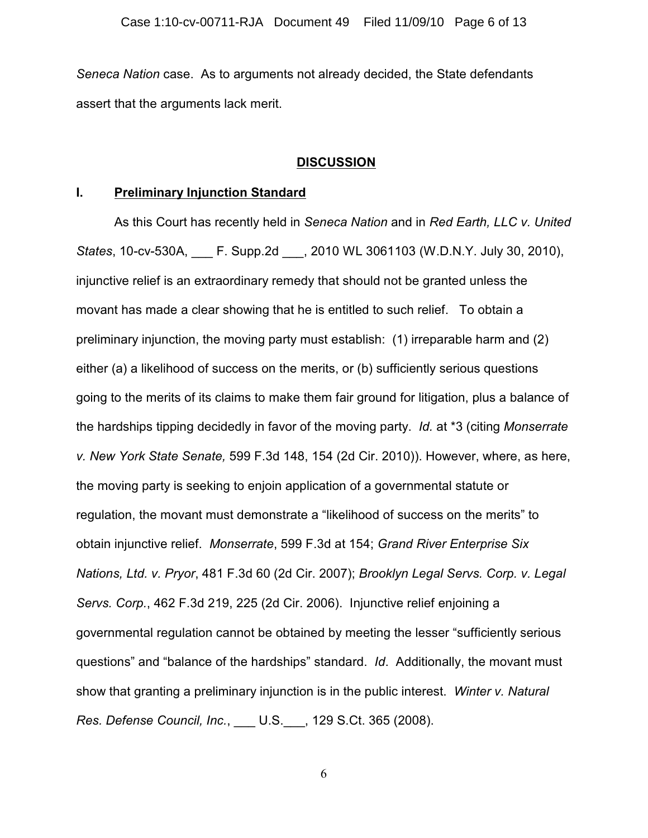*Seneca Nation* case. As to arguments not already decided, the State defendants assert that the arguments lack merit.

## **DISCUSSION**

## **I. Preliminary Injunction Standard**

As this Court has recently held in *Seneca Nation* and in *Red Earth, LLC v. United States*, 10-cv-530A, \_\_\_ F. Supp.2d \_\_\_, 2010 WL 3061103 (W.D.N.Y. July 30, 2010), injunctive relief is an extraordinary remedy that should not be granted unless the movant has made a clear showing that he is entitled to such relief. To obtain a preliminary injunction, the moving party must establish: (1) irreparable harm and (2) either (a) a likelihood of success on the merits, or (b) sufficiently serious questions going to the merits of its claims to make them fair ground for litigation, plus a balance of the hardships tipping decidedly in favor of the moving party. *Id.* at \*3 (citing *Monserrate v. New York State Senate,* 599 F.3d 148, 154 (2d Cir. 2010)). However, where, as here, the moving party is seeking to enjoin application of a governmental statute or regulation, the movant must demonstrate a "likelihood of success on the merits" to obtain injunctive relief. *Monserrate*, 599 F.3d at 154; *Grand River Enterprise Six Nations, Ltd. v. Pryor*, 481 F.3d 60 (2d Cir. 2007); *Brooklyn Legal Servs. Corp. v. Legal Servs. Corp.*, 462 F.3d 219, 225 (2d Cir. 2006). Injunctive relief enjoining a governmental regulation cannot be obtained by meeting the lesser "sufficiently serious questions" and "balance of the hardships" standard. *Id*. Additionally, the movant must show that granting a preliminary injunction is in the public interest. *Winter v. Natural Res. Defense Council, Inc.*, \_\_\_ U.S.\_\_\_, 129 S.Ct. 365 (2008).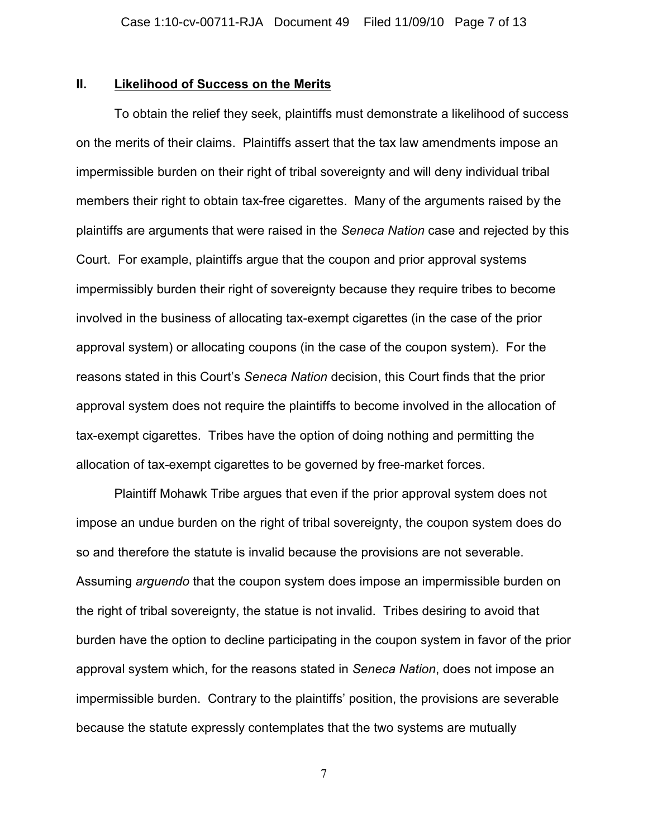## **II. Likelihood of Success on the Merits**

To obtain the relief they seek, plaintiffs must demonstrate a likelihood of success on the merits of their claims. Plaintiffs assert that the tax law amendments impose an impermissible burden on their right of tribal sovereignty and will deny individual tribal members their right to obtain tax-free cigarettes. Many of the arguments raised by the plaintiffs are arguments that were raised in the *Seneca Nation* case and rejected by this Court. For example, plaintiffs argue that the coupon and prior approval systems impermissibly burden their right of sovereignty because they require tribes to become involved in the business of allocating tax-exempt cigarettes (in the case of the prior approval system) or allocating coupons (in the case of the coupon system). For the reasons stated in this Court's *Seneca Nation* decision, this Court finds that the prior approval system does not require the plaintiffs to become involved in the allocation of tax-exempt cigarettes. Tribes have the option of doing nothing and permitting the allocation of tax-exempt cigarettes to be governed by free-market forces.

Plaintiff Mohawk Tribe argues that even if the prior approval system does not impose an undue burden on the right of tribal sovereignty, the coupon system does do so and therefore the statute is invalid because the provisions are not severable. Assuming *arguendo* that the coupon system does impose an impermissible burden on the right of tribal sovereignty, the statue is not invalid. Tribes desiring to avoid that burden have the option to decline participating in the coupon system in favor of the prior approval system which, for the reasons stated in *Seneca Nation*, does not impose an impermissible burden. Contrary to the plaintiffs' position, the provisions are severable because the statute expressly contemplates that the two systems are mutually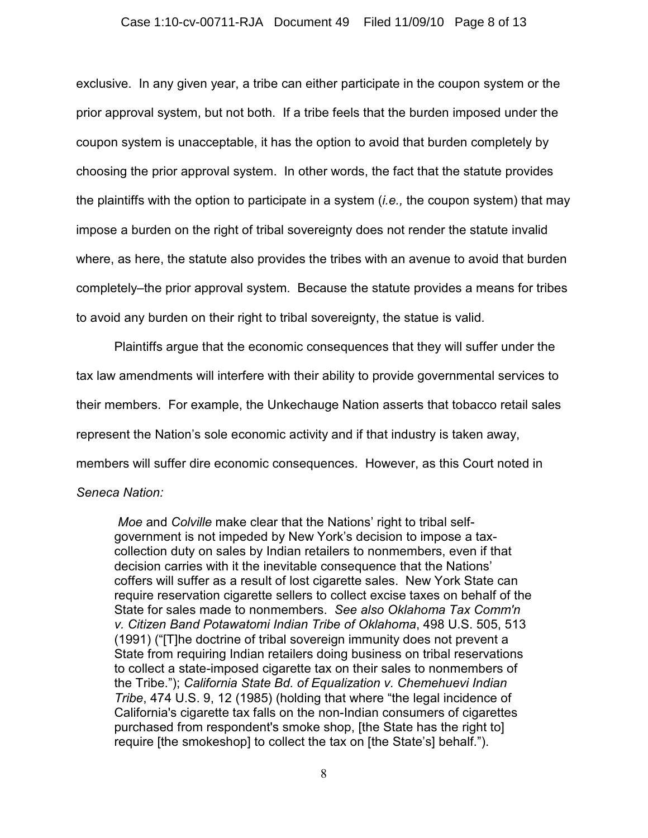### Case 1:10-cv-00711-RJA Document 49 Filed 11/09/10 Page 8 of 13

exclusive. In any given year, a tribe can either participate in the coupon system or the prior approval system, but not both. If a tribe feels that the burden imposed under the coupon system is unacceptable, it has the option to avoid that burden completely by choosing the prior approval system. In other words, the fact that the statute provides the plaintiffs with the option to participate in a system (*i.e.,* the coupon system) that may impose a burden on the right of tribal sovereignty does not render the statute invalid where, as here, the statute also provides the tribes with an avenue to avoid that burden completely–the prior approval system. Because the statute provides a means for tribes to avoid any burden on their right to tribal sovereignty, the statue is valid.

Plaintiffs argue that the economic consequences that they will suffer under the tax law amendments will interfere with their ability to provide governmental services to their members. For example, the Unkechauge Nation asserts that tobacco retail sales represent the Nation's sole economic activity and if that industry is taken away, members will suffer dire economic consequences. However, as this Court noted in

## *Seneca Nation:*

*Moe* and *Colville* make clear that the Nations' right to tribal selfgovernment is not impeded by New York's decision to impose a taxcollection duty on sales by Indian retailers to nonmembers, even if that decision carries with it the inevitable consequence that the Nations' coffers will suffer as a result of lost cigarette sales. New York State can require reservation cigarette sellers to collect excise taxes on behalf of the State for sales made to nonmembers. *See also Oklahoma Tax Comm'n v. Citizen Band Potawatomi Indian Tribe of Oklahoma*, 498 U.S. 505, 513 (1991) ("[T]he doctrine of tribal sovereign immunity does not prevent a State from requiring Indian retailers doing business on tribal reservations to collect a state-imposed cigarette tax on their sales to nonmembers of the Tribe."); *California State Bd. of Equalization v. Chemehuevi Indian Tribe*, 474 U.S. 9, 12 (1985) (holding that where "the legal incidence of California's cigarette tax falls on the non-Indian consumers of cigarettes purchased from respondent's smoke shop, [the State has the right to] require [the smokeshop] to collect the tax on [the State's] behalf.").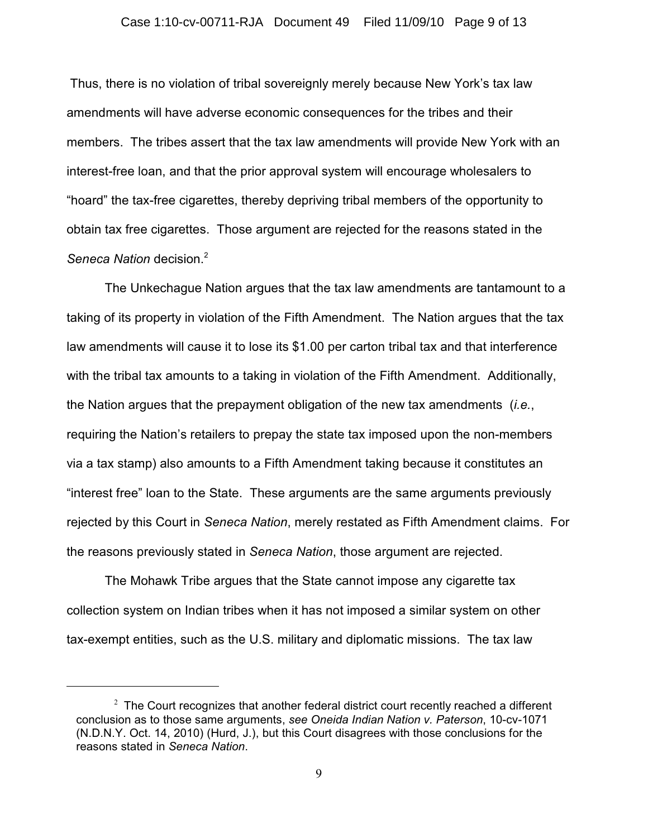#### Case 1:10-cv-00711-RJA Document 49 Filed 11/09/10 Page 9 of 13

 Thus, there is no violation of tribal sovereignly merely because New York's tax law amendments will have adverse economic consequences for the tribes and their members. The tribes assert that the tax law amendments will provide New York with an interest-free loan, and that the prior approval system will encourage wholesalers to "hoard" the tax-free cigarettes, thereby depriving tribal members of the opportunity to obtain tax free cigarettes. Those argument are rejected for the reasons stated in the *Seneca Nation* decision.<sup>2</sup>

The Unkechague Nation argues that the tax law amendments are tantamount to a taking of its property in violation of the Fifth Amendment. The Nation argues that the tax law amendments will cause it to lose its \$1.00 per carton tribal tax and that interference with the tribal tax amounts to a taking in violation of the Fifth Amendment. Additionally, the Nation argues that the prepayment obligation of the new tax amendments (*i.e.*, requiring the Nation's retailers to prepay the state tax imposed upon the non-members via a tax stamp) also amounts to a Fifth Amendment taking because it constitutes an "interest free" loan to the State. These arguments are the same arguments previously rejected by this Court in *Seneca Nation*, merely restated as Fifth Amendment claims. For the reasons previously stated in *Seneca Nation*, those argument are rejected.

The Mohawk Tribe argues that the State cannot impose any cigarette tax collection system on Indian tribes when it has not imposed a similar system on other tax-exempt entities, such as the U.S. military and diplomatic missions. The tax law

 $2$  The Court recognizes that another federal district court recently reached a different conclusion as to those same arguments, *see Oneida Indian Nation v. Paterson*, 10-cv-1071 (N.D.N.Y. Oct. 14, 2010) (Hurd, J.), but this Court disagrees with those conclusions for the reasons stated in *Seneca Nation*.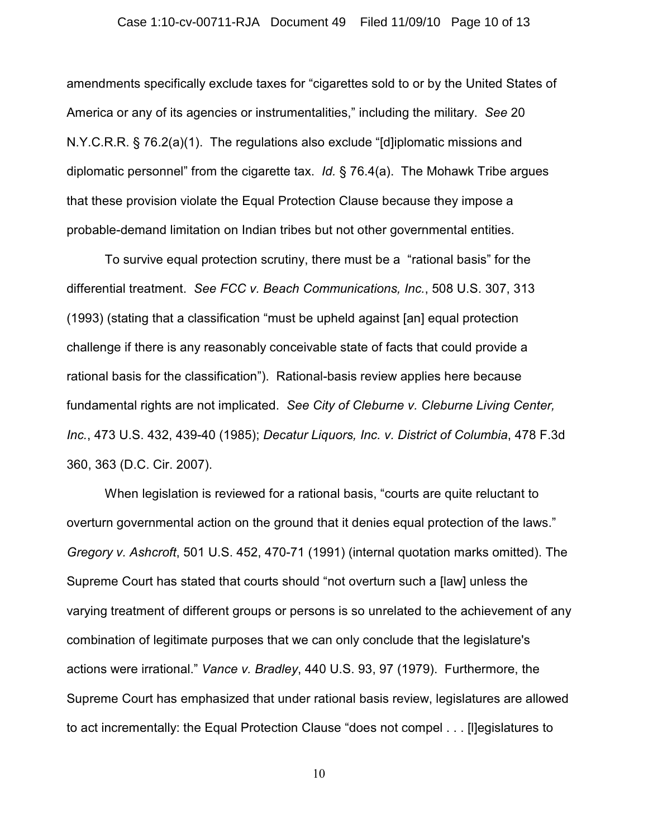#### Case 1:10-cv-00711-RJA Document 49 Filed 11/09/10 Page 10 of 13

amendments specifically exclude taxes for "cigarettes sold to or by the United States of America or any of its agencies or instrumentalities," including the military. *See* 20 N.Y.C.R.R. § 76.2(a)(1). The regulations also exclude "[d]iplomatic missions and diplomatic personnel" from the cigarette tax. *Id.* § 76.4(a). The Mohawk Tribe argues that these provision violate the Equal Protection Clause because they impose a probable-demand limitation on Indian tribes but not other governmental entities.

To survive equal protection scrutiny, there must be a "rational basis" for the differential treatment. *See FCC v. Beach Communications, Inc.*, 508 U.S. 307, 313 (1993) (stating that a classification "must be upheld against [an] equal protection challenge if there is any reasonably conceivable state of facts that could provide a rational basis for the classification"). Rational-basis review applies here because fundamental rights are not implicated. *See City of Cleburne v. Cleburne Living Center, Inc.*, 473 U.S. 432, 439-40 (1985); *Decatur Liquors, Inc. v. District of Columbia*, 478 F.3d 360, 363 (D.C. Cir. 2007).

When legislation is reviewed for a rational basis, "courts are quite reluctant to overturn governmental action on the ground that it denies equal protection of the laws." *Gregory v. Ashcroft*, 501 U.S. 452, 470-71 (1991) (internal quotation marks omitted). The Supreme Court has stated that courts should "not overturn such a [law] unless the varying treatment of different groups or persons is so unrelated to the achievement of any combination of legitimate purposes that we can only conclude that the legislature's actions were irrational." *Vance v. Bradley*, 440 U.S. 93, 97 (1979). Furthermore, the Supreme Court has emphasized that under rational basis review, legislatures are allowed to act incrementally: the Equal Protection Clause "does not compel . . . [l]egislatures to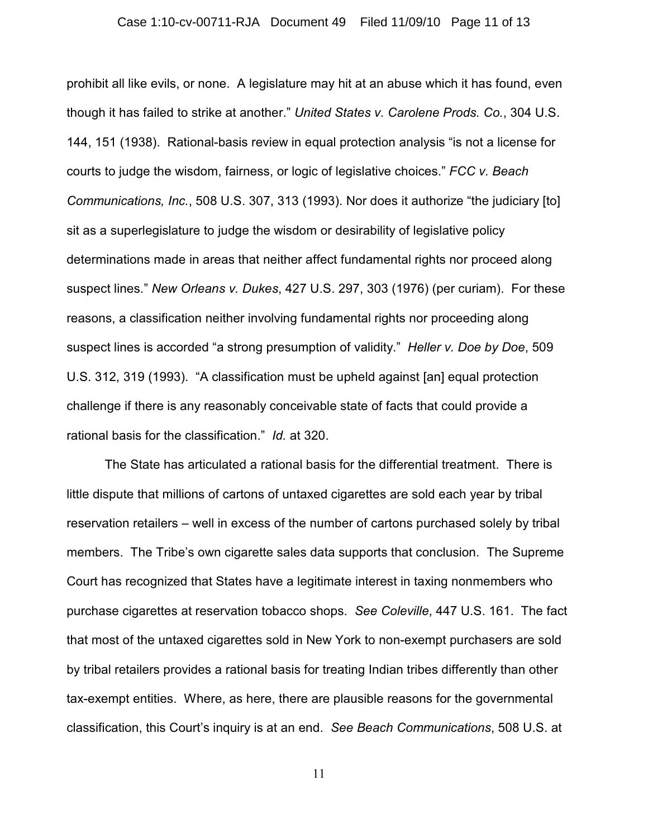#### Case 1:10-cv-00711-RJA Document 49 Filed 11/09/10 Page 11 of 13

prohibit all like evils, or none. A legislature may hit at an abuse which it has found, even though it has failed to strike at another." *United States v. Carolene Prods. Co.*, 304 U.S. 144, 151 (1938). Rational-basis review in equal protection analysis "is not a license for courts to judge the wisdom, fairness, or logic of legislative choices." *FCC v. Beach Communications, Inc.*, 508 U.S. 307, 313 (1993). Nor does it authorize "the judiciary [to] sit as a superlegislature to judge the wisdom or desirability of legislative policy determinations made in areas that neither affect fundamental rights nor proceed along suspect lines." *New Orleans v. Dukes*, 427 U.S. 297, 303 (1976) (per curiam). For these reasons, a classification neither involving fundamental rights nor proceeding along suspect lines is accorded "a strong presumption of validity." *Heller v. Doe by Doe*, 509 U.S. 312, 319 (1993). "A classification must be upheld against [an] equal protection challenge if there is any reasonably conceivable state of facts that could provide a rational basis for the classification." *Id.* at 320.

The State has articulated a rational basis for the differential treatment. There is little dispute that millions of cartons of untaxed cigarettes are sold each year by tribal reservation retailers – well in excess of the number of cartons purchased solely by tribal members. The Tribe's own cigarette sales data supports that conclusion. The Supreme Court has recognized that States have a legitimate interest in taxing nonmembers who purchase cigarettes at reservation tobacco shops. *See Coleville*, 447 U.S. 161. The fact that most of the untaxed cigarettes sold in New York to non-exempt purchasers are sold by tribal retailers provides a rational basis for treating Indian tribes differently than other tax-exempt entities. Where, as here, there are plausible reasons for the governmental classification, this Court's inquiry is at an end. *See Beach Communications*, 508 U.S. at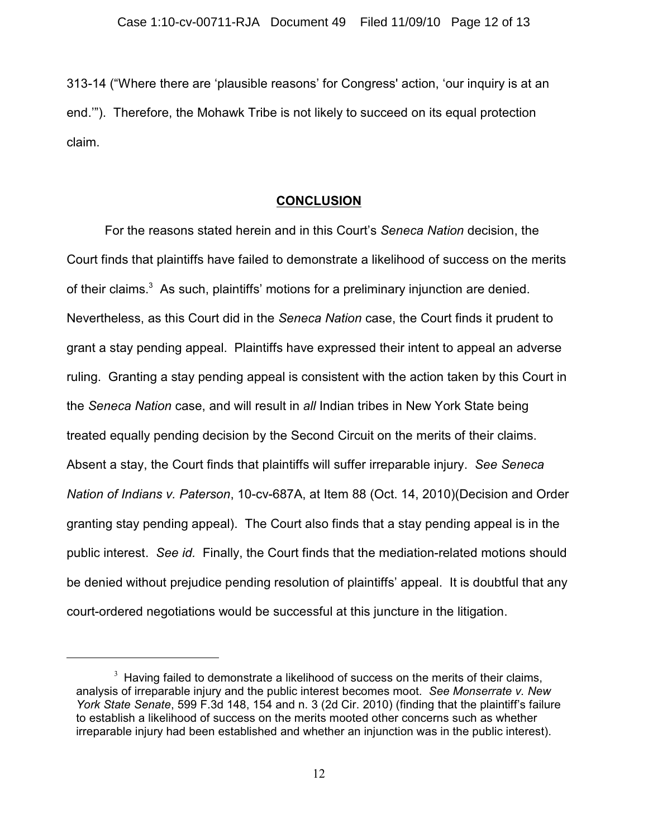313-14 ("Where there are 'plausible reasons' for Congress' action, 'our inquiry is at an end.'"). Therefore, the Mohawk Tribe is not likely to succeed on its equal protection claim.

### **CONCLUSION**

For the reasons stated herein and in this Court's *Seneca Nation* decision, the Court finds that plaintiffs have failed to demonstrate a likelihood of success on the merits of their claims. $3$  As such, plaintiffs' motions for a preliminary injunction are denied. Nevertheless, as this Court did in the *Seneca Nation* case, the Court finds it prudent to grant a stay pending appeal. Plaintiffs have expressed their intent to appeal an adverse ruling. Granting a stay pending appeal is consistent with the action taken by this Court in the *Seneca Nation* case, and will result in *all* Indian tribes in New York State being treated equally pending decision by the Second Circuit on the merits of their claims. Absent a stay, the Court finds that plaintiffs will suffer irreparable injury. *See Seneca Nation of Indians v. Paterson*, 10-cv-687A, at Item 88 (Oct. 14, 2010)(Decision and Order granting stay pending appeal). The Court also finds that a stay pending appeal is in the public interest. *See id.* Finally, the Court finds that the mediation-related motions should be denied without prejudice pending resolution of plaintiffs' appeal. It is doubtful that any court-ordered negotiations would be successful at this juncture in the litigation.

 $3$  Having failed to demonstrate a likelihood of success on the merits of their claims, analysis of irreparable injury and the public interest becomes moot. *See Monserrate v. New York State Senate*, 599 F.3d 148, 154 and n. 3 (2d Cir. 2010) (finding that the plaintiff's failure to establish a likelihood of success on the merits mooted other concerns such as whether irreparable injury had been established and whether an injunction was in the public interest).